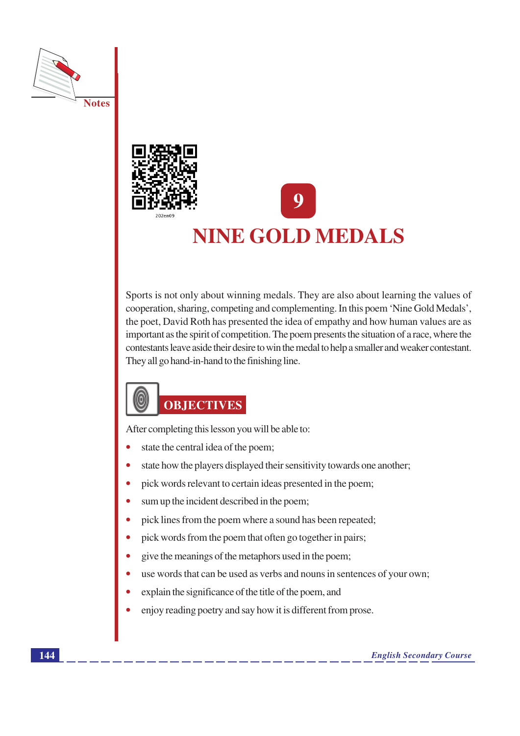



# **NINE GOLD MEDALS**

Sports is not only about winning medals. They are also about learning the values of cooperation, sharing, competing and complementing. In this poem 'Nine Gold Medals', the poet, David Roth has presented the idea of empathy and how human values are as important as the spirit of competition. The poem presents the situation of a race, where the contestants leave aside their desire to win the medal to help a smaller and weaker contestant. They all go hand-in-hand to the finishing line.

# 0) **OBJECTIVES**

After completing this lesson you will be able to:

- state the central idea of the poem;
- state how the players displayed their sensitivity towards one another;
- pick words relevant to certain ideas presented in the poem;
- $\bullet$ sum up the incident described in the poem;
- pick lines from the poem where a sound has been repeated;  $\bullet$
- pick words from the poem that often go together in pairs;
- $\bullet$ give the meanings of the metaphors used in the poem;
- use words that can be used as verbs and nouns in sentences of your own;
- explain the significance of the title of the poem, and
- enjoy reading poetry and say how it is different from prose.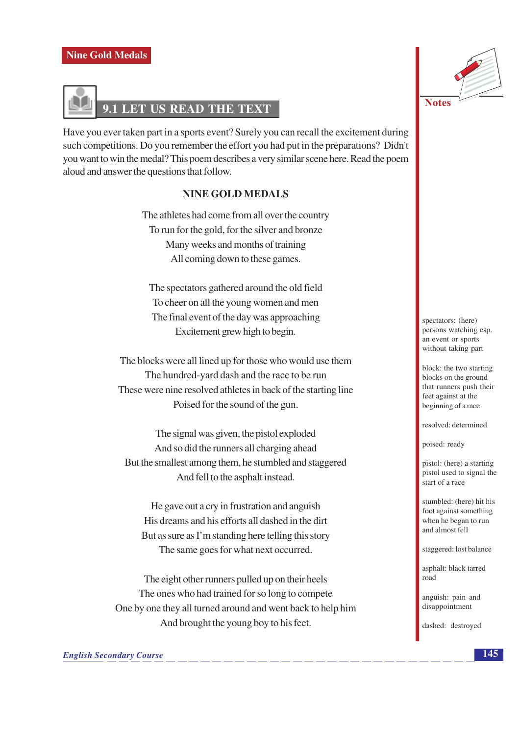

Have you ever taken part in a sports event? Surely you can recall the excitement during such competitions. Do you remember the effort you had put in the preparations? Didn't you want to win the medal? This poem describes a very similar scene here. Read the poem aloud and answer the questions that follow.

#### **NINE GOLD MEDALS**

The athletes had come from all over the country To run for the gold, for the silver and bronze Many weeks and months of training All coming down to these games.

The spectators gathered around the old field To cheer on all the young women and men The final event of the day was approaching Excitement grew high to begin.

The blocks were all lined up for those who would use them The hundred-yard dash and the race to be run These were nine resolved at hetes in back of the starting line Poised for the sound of the gun.

The signal was given, the pistol exploded And so did the runners all charging ahead But the smallest among them, he stumbled and staggered And fell to the asphalt instead.

He gave out a cry in frustration and anguish His dreams and his efforts all dashed in the dirt But as sure as I'm standing here telling this story The same goes for what next occurred.

The eight other runners pulled up on their heels The ones who had trained for so long to compete One by one they all turned around and went back to help him And brought the young boy to his feet.



spectators: (here) persons watching esp. an event or sports without taking part

block: the two starting blocks on the ground that runners push their feet against at the beginning of a race

resolved: determined

poised: ready

pistol: (here) a starting pistol used to signal the start of a race

stumbled: (here) hit his foot against something when he began to run and almost fell

staggered: lost balance

asphalt: black tarred  $\overline{\text{rad}}$ 

anguish: pain and disappointment

dashed: destroyed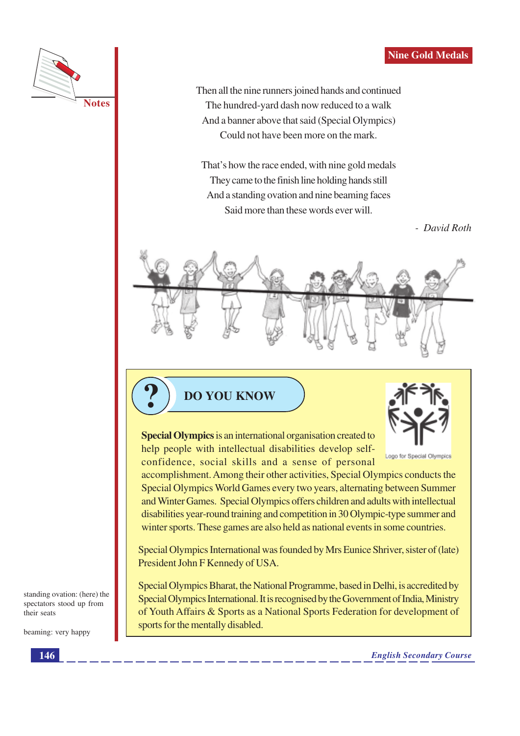

Then all the nine runners joined hands and continued The hundred-yard dash now reduced to a walk And a banner above that said (Special Olympics) Could not have been more on the mark.

That's how the race ended, with nine gold medals They came to the finish line holding hands still And a standing ovation and nine beaming faces Said more than these words ever will.

- David Roth







**Special Olympics** is an international organisation created to help people with intellectual disabilities develop selfconfidence, social skills and a sense of personal

Logo for Special Olympics

accomplishment. Among their other activities, Special Olympics conducts the Special Olympics World Games every two years, alternating between Summer and Winter Games. Special Olympics offers children and adults with intellectual disabilities year-round training and competition in 30 Olympic-type summer and winter sports. These games are also held as national events in some countries.

Special Olympics International was founded by Mrs Eunice Shriver, sister of (late) President John F Kennedy of USA.

Special Olympics Bharat, the National Programme, based in Delhi, is accredited by Special Olympics International. It is recognised by the Government of India, Ministry of Youth Affairs & Sports as a National Sports Federation for development of sports for the mentally disabled.

standing ovation: (here) the spectators stood up from their seats

beaming: very happy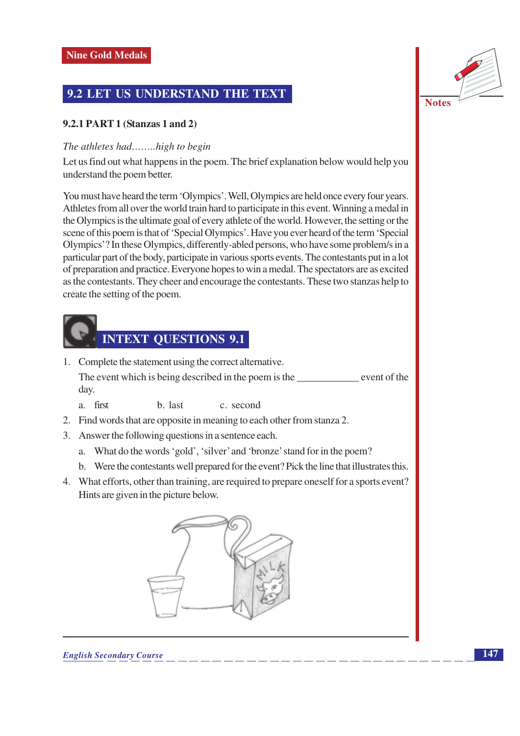# 9.2 LET US UNDERSTAND THE TEXT

#### 9.2.1 PART 1 (Stanzas 1 and 2)

#### The athletes had........high to begin

Let us find out what happens in the poem. The brief explanation below would help you understand the poem better.

You must have heard the term 'Olympics'. Well, Olympics are held once every four years. Athletes from all over the world train hard to participate in this event. Winning a medal in the Olympics is the ultimate goal of every athlete of the world. However, the setting or the scene of this poem is that of 'Special Olympics'. Have you ever heard of the term 'Special Olympics'? In these Olympics, differently-abled persons, who have some problem/s in a particular part of the body, participate in various sports events. The contestants put in a lot of preparation and practice. Everyone hopes to win a medal. The spectators are as excited as the contestants. They cheer and encourage the contestants. These two stanzas help to create the setting of the poem.



1. Complete the statement using the correct alternative.

The event which is being described in the poem is the server between the sevent of the day.

- a. first b. last c. second
- 2. Find words that are opposite in meaning to each other from stanza 2.
- 3. Answer the following questions in a sentence each.
	- a. What do the words 'gold', 'silver' and 'bronze' stand for in the poem?
	- b. Were the contestants well prepared for the event? Pick the line that illustrates this.
- 4. What efforts, other than training, are required to prepare oneself for a sports event? Hints are given in the picture below.



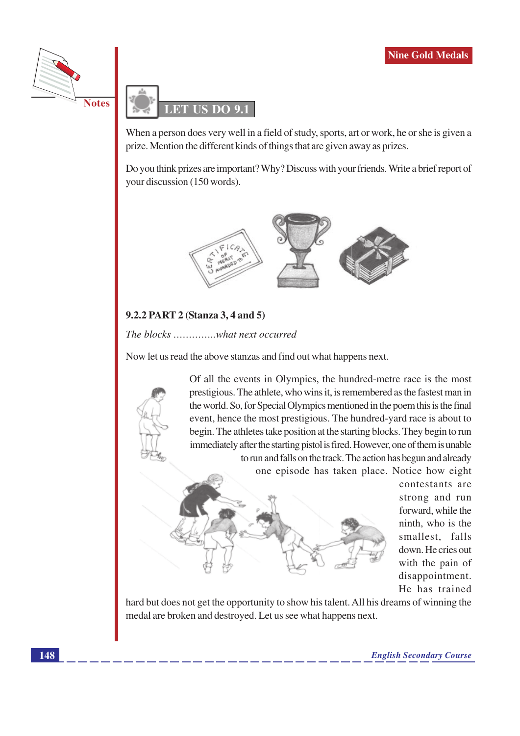



When a person does very well in a field of study, sports, art or work, he or she is given a prize. Mention the different kinds of things that are given away as prizes.

Do you think prizes are important? Why? Discuss with your friends. Write a brief report of your discussion (150 words).



# 9.2.2 PART 2 (Stanza 3, 4 and 5)

The blocks ..............what next occurred

Now let us read the above stanzas and find out what happens next.





contestants are strong and run forward, while the ninth, who is the smallest, falls down. He cries out with the pain of disappointment. He has trained

hard but does not get the opportunity to show his talent. All his dreams of winning the medal are broken and destroyed. Let us see what happens next.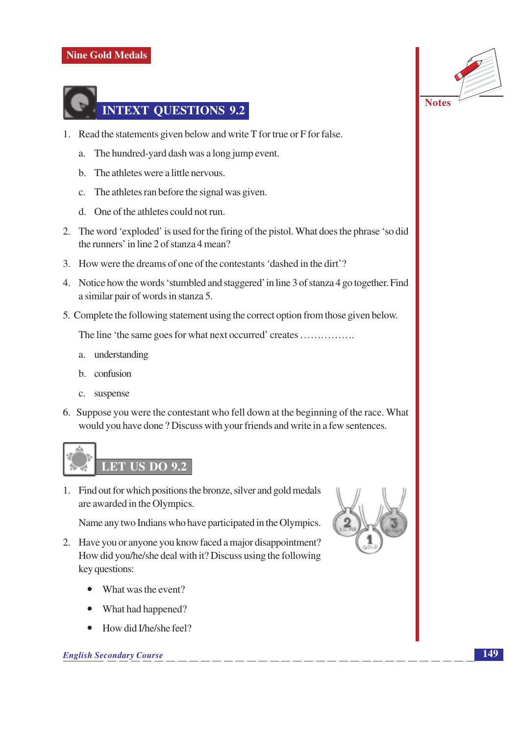

- 1. Read the statements given below and write T for true or F for false.
	- a. The hundred-yard dash was a long jump event.
	- b. The athletes were a little nervous.
	- c. The athletes ran before the signal was given.
	- d. One of the athletes could not run.
- 2. The word 'exploded' is used for the firing of the pistol. What does the phrase 'so did the runners' in line 2 of stanza 4 mean?
- 3. How were the dreams of one of the contestants 'dashed in the dirt'?
- 4. Notice how the words 'stumbled and staggered' in line 3 of stanza 4 go together. Find a similar pair of words in stanza 5.
- 5. Complete the following statement using the correct option from those given below.

The line 'the same goes for what next occurred' creates ................

- a. understanding
- b. confusion
- c. suspense
- 6. Suppose you were the contestant who fell down at the beginning of the race. What would you have done? Discuss with your friends and write in a few sentences.



1. Find out for which positions the bronze, silver and gold medals are awarded in the Olympics.

Name any two Indians who have participated in the Olympics.

- 2. Have you or anyone you know faced a major disappointment? How did you/he/she deal with it? Discuss using the following key questions:
	- What was the event?
	- What had happened?
	- How did I/he/she feel?  $\bullet$

#### **English Secondary Course**



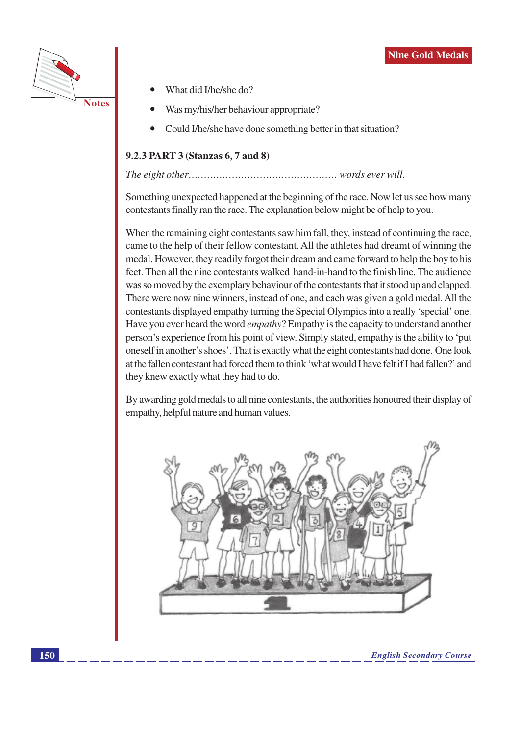

- What did I/he/she do?
- Was my/his/her behaviour appropriate?
- Could I/he/she have done something better in that situation?

#### 9.2.3 PART 3 (Stanzas 6, 7 and 8)

#### 

Something unexpected happened at the beginning of the race. Now let us see how many contestants finally ran the race. The explanation below might be of help to you.

When the remaining eight contestants saw him fall, they, instead of continuing the race, came to the help of their fellow contestant. All the athletes had dreamt of winning the medal. However, they readily forgot their dream and came forward to help the boy to his feet. Then all the nine contestants walked hand-in-hand to the finish line. The audience was so moved by the exemplary behaviour of the contestants that it stood up and clapped. There were now nine winners, instead of one, and each was given a gold medal. All the contestants displayed empathy turning the Special Olympics into a really 'special' one. Have you ever heard the word *empathy*? Empathy is the capacity to understand another person's experience from his point of view. Simply stated, empathy is the ability to 'put oneself in another's shoes'. That is exactly what the eight contestants had done. One look at the fallen contestant had forced them to think 'what would I have felt if I had fallen?' and they knew exactly what they had to do.

By awarding gold medals to all nine contestants, the authorities honoured their display of empathy, helpful nature and human values.

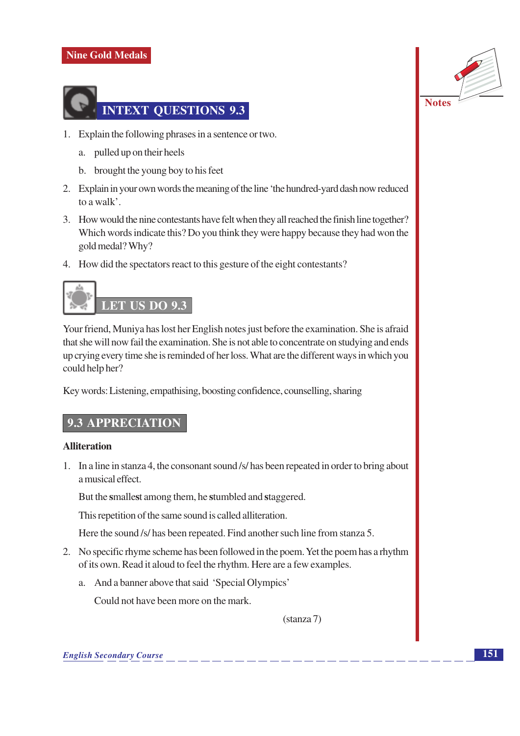

- 1. Explain the following phrases in a sentence or two.
	- a. pulled up on their heels
	- b. brought the young boy to his feet
- 2. Explain in your own words the meaning of the line 'the hundred-yard dash now reduced to a walk'.
- 3. How would the nine contestants have felt when they all reached the finish line together? Which words indicate this? Do you think they were happy because they had won the gold medal? Why?
- 4. How did the spectators react to this gesture of the eight contestants?



Your friend, Muniya has lost her English notes just before the examination. She is afraid that she will now fail the examination. She is not able to concentrate on studying and ends up crying every time she is reminded of her loss. What are the different ways in which you could help her?

Key words: Listening, empathising, boosting confidence, counselling, sharing

## **9.3 APPRECIATION**

#### **Alliteration**

1. In a line in stanza 4, the consonant sound /s/ has been repeated in order to bring about a musical effect.

But the smallest among them, he stumbled and staggered.

This repetition of the same sound is called all iteration.

Here the sound /s/ has been repeated. Find another such line from stanza 5.

- 2. No specific rhyme scheme has been followed in the poem. Yet the poem has a rhythm of its own. Read it aloud to feel the rhythm. Here are a few examples.
	- a. And a banner above that said 'Special Olympics'

Could not have been more on the mark.

 $(\sinh(7))$ 

#### **English Secondary Course**

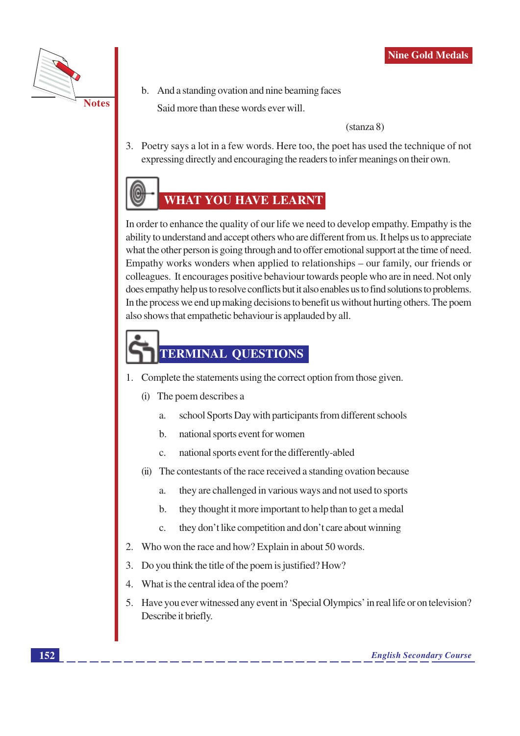

b. And a standing ovation and nine beaming faces Said more than these words ever will.

 $(\sin za 8)$ 

3. Poetry says a lot in a few words. Here too, the poet has used the technique of not expressing directly and encouraging the readers to infer meanings on their own.

# **WHAT YOU HAVE LEARNT**

In order to enhance the quality of our life we need to develop empathy. Empathy is the ability to understand and accept others who are different from us. It helps us to appreciate what the other person is going through and to offer emotional support at the time of need. Empathy works wonders when applied to relationships – our family, our friends or colleagues. It encourages positive behaviour towards people who are in need. Not only does empathy help us to resolve conflicts but it also enables us to find solutions to problems. In the process we end up making decisions to benefit us without hurting others. The poem also shows that empathetic behaviour is applauded by all.

# **TERMINAL QUESTIONS**

- 1. Complete the statements using the correct option from those given.
	- (i) The poem describes a
		- school Sports Day with participants from different schools a.
		- $\mathbf{b}$ . national sports event for women
		- national sports event for the differently-abled  $\mathbf{c}$ .
	- $(ii)$ The contestants of the race received a standing ovation because
		- they are challenged in various ways and not used to sports  $\overline{a}$ .
		- $\mathbf{b}$ . they thought it more important to help than to get a medal
		- they don't like competition and don't care about winning  $\mathcal{C}$ .
- $\overline{2}$ . Who won the race and how? Explain in about 50 words.
- Do you think the title of the poem is justified? How?  $3.$
- What is the central idea of the poem? 4.
- 5. Have you ever witnessed any event in 'Special Olympics' in real life or on television? Describe it briefly.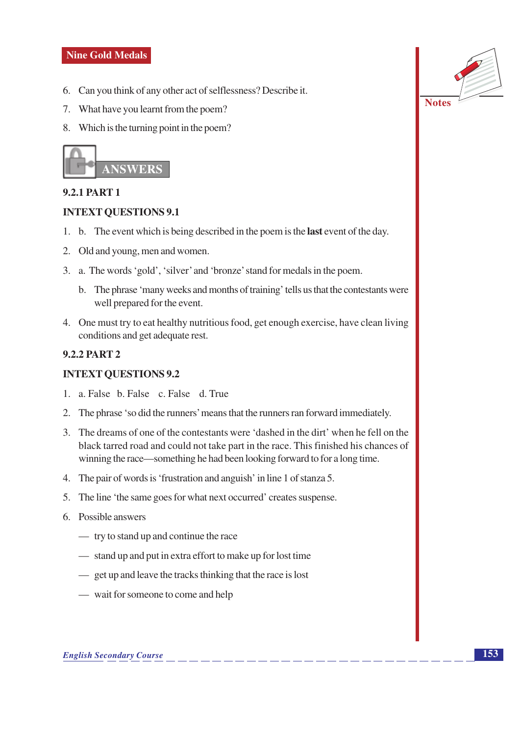- 6. Can you think of any other act of selflessness? Describe it.
- 7. What have you learnt from the poem?
- 8. Which is the turning point in the poem?



#### **9.2.1 PART 1**

#### **INTEXT QUESTIONS 9.1**

- 1. b. The event which is being described in the poem is the **last** event of the day.
- 2. Old and young, men and women.
- 3. a. The words 'gold', 'silver' and 'bronze' stand for medals in the poem.
	- b. The phrase 'many weeks and months of training' tells us that the contestants were well prepared for the event.
- 4. One must try to eat healthy nutritious food, get enough exercise, have clean living conditions and get adequate rest.

#### **9.2.2 PART 2**

#### **INTEXT QUESTIONS 9.2**

- 1. a. False b. False c. False d. True
- 2. The phrase 'so did the runners' means that the runners ran forward immediately.
- 3. The dreams of one of the contestants were 'dashed in the dirt' when he fell on the black tarred road and could not take part in the race. This finished his chances of winning the race—something he had been looking forward to for a long time.
- 4. The pair of words is 'frustration and anguish' in line 1 of stanza 5.
- 5. The line 'the same goes for what next occurred' creates suspense.
- 6. Possible answers
	- try to stand up and continue the race
	- stand up and put in extra effort to make up for lost time
	- get up and leave the tracks thinking that the race is lost
	- wait for someone to come and help



#### **English Secondary Course**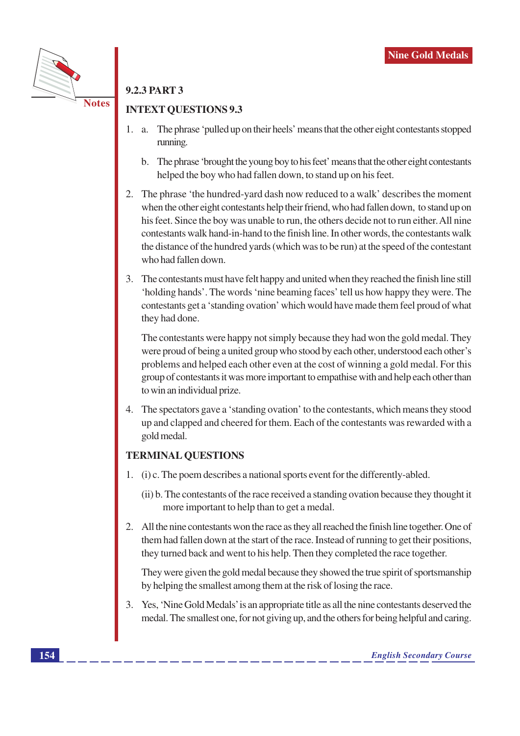

# **9.2.3 PART 3**

#### **INTEXT QUESTIONS 9.3**

- The phrase 'pulled up on their heels' means that the other eight contestants stopped 1. a. running.
	- b. The phrase 'brought the young boy to his feet' means that the other eight contestants helped the boy who had fallen down, to stand up on his feet.
- 2. The phrase 'the hundred-yard dash now reduced to a walk' describes the moment when the other eight contestants help their friend, who had fallen down, to stand up on his feet. Since the boy was unable to run, the others decide not to run either. All nine contestants walk hand-in-hand to the finish line. In other words, the contestants walk the distance of the hundred yards (which was to be run) at the speed of the contestant who had fallen down.
- 3. The contestants must have felt happy and united when they reached the finish line still 'holding hands'. The words 'nine beaming faces' tell us how happy they were. The contestants get a 'standing ovation' which would have made them feel proud of what they had done.

The contestants were happy not simply because they had won the gold medal. They were proud of being a united group who stood by each other, understood each other's problems and helped each other even at the cost of winning a gold medal. For this group of contestants it was more important to empathise with and help each other than to win an individual prize.

4. The spectators gave a 'standing ovation' to the contestants, which means they stood up and clapped and cheered for them. Each of the contestants was rewarded with a gold medal.

## **TERMINAL QUESTIONS**

- 1. (i) c. The poem describes a national sports event for the differently-abled.
	- (ii) b. The contestants of the race received a standing ovation because they thought it more important to help than to get a medal.
- 2. All the nine contestants won the race as they all reached the finish line together. One of them had fallen down at the start of the race. Instead of running to get their positions, they turned back and went to his help. Then they completed the race together.

They were given the gold medal because they showed the true spirit of sportsmanship by helping the smallest among them at the risk of losing the race.

3. Yes, 'Nine Gold Medals' is an appropriate title as all the nine contestants deserved the medal. The smallest one, for not giving up, and the others for being helpful and caring.